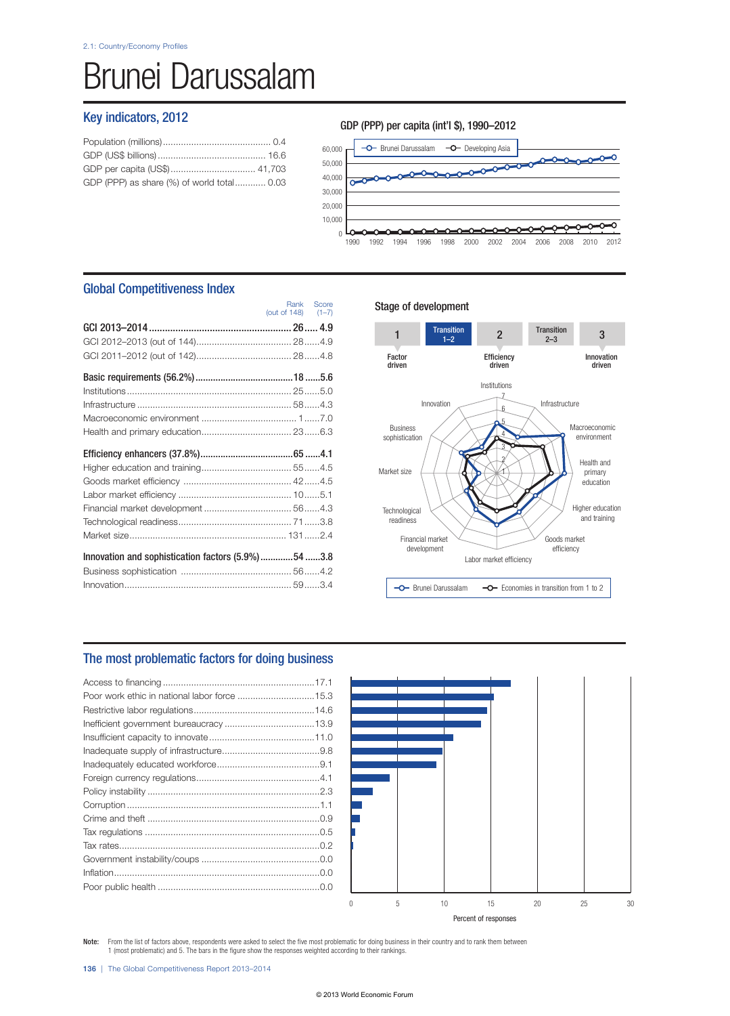# Brunei Darussalam

## Key indicators, 2012

| GDP (PPP) as share (%) of world total 0.03 |  |
|--------------------------------------------|--|
|                                            |  |

## GDP (PPP) per capita (int'l \$), 1990–2012



## Global Competitiveness Index

|                                                    | (out of $148$ ) $(1-7)$ |  |
|----------------------------------------------------|-------------------------|--|
|                                                    |                         |  |
|                                                    |                         |  |
|                                                    |                         |  |
|                                                    |                         |  |
|                                                    |                         |  |
|                                                    |                         |  |
|                                                    |                         |  |
|                                                    |                         |  |
|                                                    |                         |  |
|                                                    |                         |  |
|                                                    |                         |  |
|                                                    |                         |  |
|                                                    |                         |  |
|                                                    |                         |  |
|                                                    |                         |  |
|                                                    |                         |  |
| Innovation and sophistication factors (5.9%)54 3.8 |                         |  |
|                                                    |                         |  |

## Stage of development

Rank Score



## The most problematic factors for doing business



Note: From the list of factors above, respondents were asked to select the five most problematic for doing business in their country and to rank them between 1 (most problematic) and 5. The bars in the figure show the responses weighted according to their rankings.